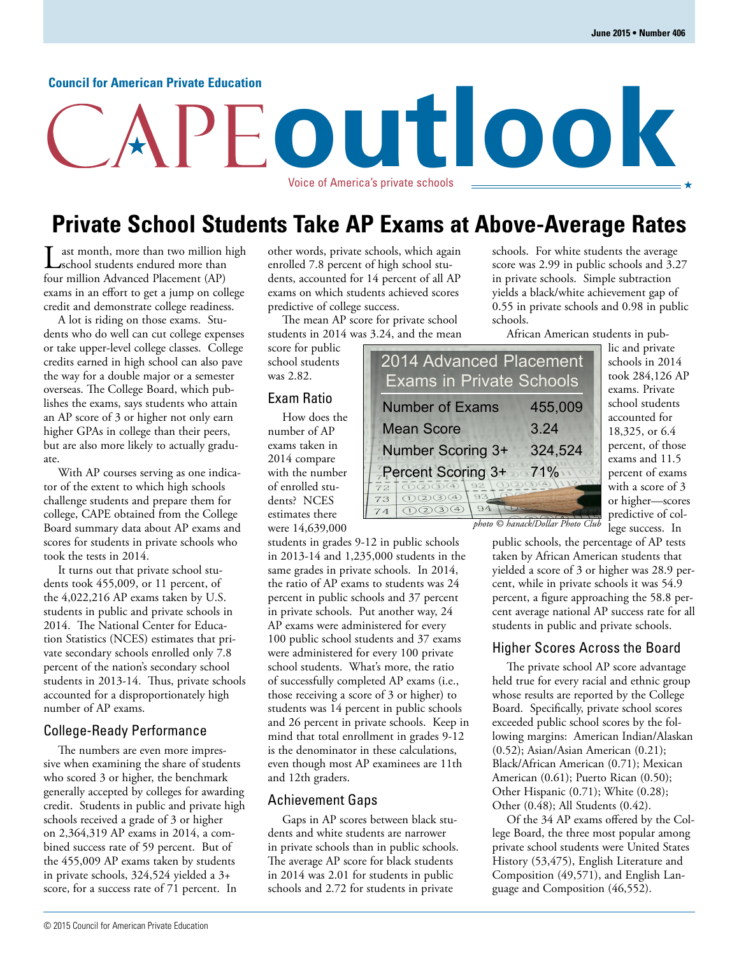#### **Council for American Private Education**

# **outlook** Voice of America's private schools

## **Private School Students Take AP Exams at Above-Average Rates**

ast month, more than two million high school students endured more than four million Advanced Placement (AP) exams in an effort to get a jump on college credit and demonstrate college readiness.

A lot is riding on those exams. Students who do well can cut college expenses or take upper-level college classes. College credits earned in high school can also pave the way for a double major or a semester overseas. The College Board, which publishes the exams, says students who attain an AP score of 3 or higher not only earn higher GPAs in college than their peers, but are also more likely to actually graduate.

With AP courses serving as one indicator of the extent to which high schools challenge students and prepare them for college, CAPE obtained from the College Board summary data about AP exams and scores for students in private schools who took the tests in 2014.

It turns out that private school students took 455,009, or 11 percent, of the 4,022,216 AP exams taken by U.S. students in public and private schools in 2014. The National Center for Education Statistics (NCES) estimates that private secondary schools enrolled only 7.8 percent of the nation's secondary school students in 2013-14. Thus, private schools accounted for a disproportionately high number of AP exams.

#### College-Ready Performance

The numbers are even more impressive when examining the share of students who scored 3 or higher, the benchmark generally accepted by colleges for awarding credit. Students in public and private high schools received a grade of 3 or higher on 2,364,319 AP exams in 2014, a combined success rate of 59 percent. But of the 455,009 AP exams taken by students in private schools, 324,524 yielded a 3+ score, for a success rate of 71 percent. In

other words, private schools, which again enrolled 7.8 percent of high school students, accounted for 14 percent of all AP exams on which students achieved scores predictive of college success.

The mean AP score for private school students in 2014 was 3.24, and the mean

score for public school students was 2.82.

#### Exam Ratio

How does the number of AP exams taken in 2014 compare with the number of enrolled students? NCES estimates there were 14,639,000

students in grades 9-12 in public schools in 2013-14 and 1,235,000 students in the same grades in private schools. In 2014, the ratio of AP exams to students was 24 percent in public schools and 37 percent in private schools. Put another way, 24 AP exams were administered for every 100 public school students and 37 exams were administered for every 100 private school students. What's more, the ratio of successfully completed AP exams (i.e., those receiving a score of 3 or higher) to students was 14 percent in public schools and 26 percent in private schools. Keep in mind that total enrollment in grades 9-12 is the denominator in these calculations, even though most AP examinees are 11th and 12th graders.

#### Achievement Gaps

Gaps in AP scores between black students and white students are narrower in private schools than in public schools. The average AP score for black students in 2014 was 2.01 for students in public schools and 2.72 for students in private

schools. For white students the average score was 2.99 in public schools and 3.27 in private schools. Simple subtraction yields a black/white achievement gap of 0.55 in private schools and 0.98 in public schools.

African American students in pub-



lic and private schools in 2014 took 284,126 AP exams. Private school students accounted for 18,325, or 6.4 percent, of those exams and 11.5 percent of exams with a score of 3 or higher—scores predictive of college success. In

*photo © hanack/Dollar Photo Club*

public schools, the percentage of AP tests taken by African American students that yielded a score of 3 or higher was 28.9 percent, while in private schools it was 54.9 percent, a figure approaching the 58.8 percent average national AP success rate for all students in public and private schools.

#### Higher Scores Across the Board

The private school AP score advantage held true for every racial and ethnic group whose results are reported by the College Board. Specifically, private school scores exceeded public school scores by the following margins: American Indian/Alaskan (0.52); Asian/Asian American (0.21); Black/African American (0.71); Mexican American (0.61); Puerto Rican (0.50); Other Hispanic (0.71); White (0.28); Other (0.48); All Students (0.42).

Of the 34 AP exams offered by the College Board, the three most popular among private school students were United States History (53,475), English Literature and Composition (49,571), and English Language and Composition (46,552).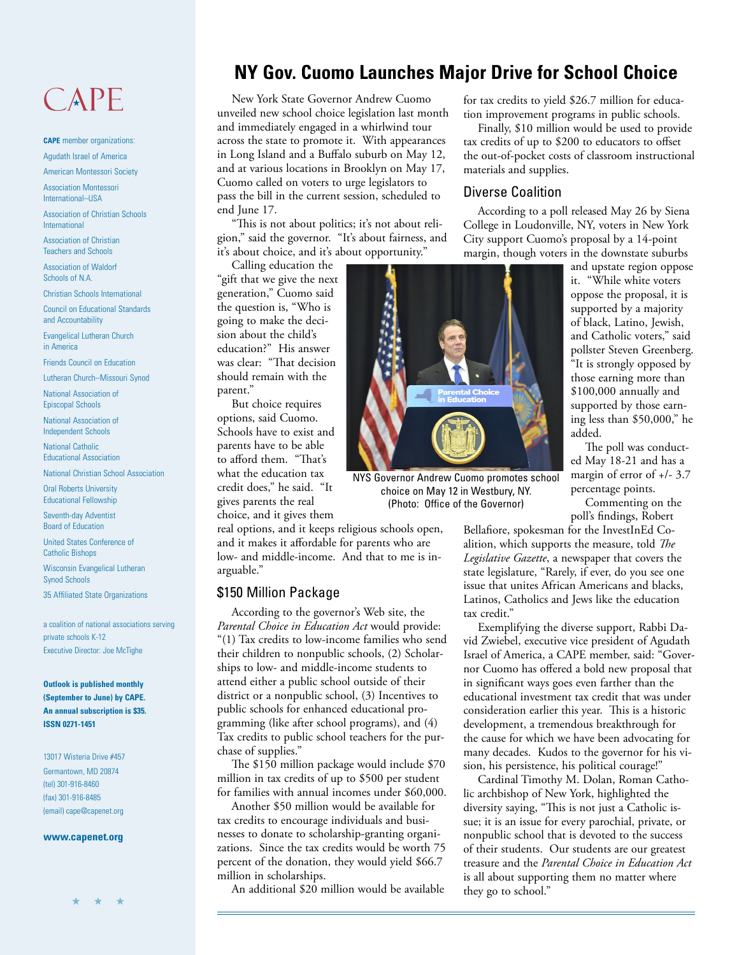## CAPE

**CAPE** member organizations: Agudath Israel of America

American Montessori Society

Association Montessori International–USA

Association of Christian Schools International

Association of Christian Teachers and Schools

Association of Waldorf Schools of N.A.

Christian Schools International

Council on Educational Standards and Accountability

Evangelical Lutheran Church in America

Friends Council on Education

Lutheran Church–Missouri Synod

National Association of Episcopal Schools

National Association of Independent Schools

National Catholic Educational Association

National Christian School Association

Oral Roberts University Educational Fellowship

Seventh-day Adventist Board of Education

United States Conference of Catholic Bishops

Wisconsin Evangelical Lutheran Synod Schools

35 Affiliated State Organizations

a coalition of national associations serving private schools K-12 Executive Director: Joe McTighe

**Outlook is published monthly (September to June) by CAPE. An annual subscription is \$35. ISSN 0271-1451**

13017 Wisteria Drive #457 Germantown, MD 20874 (tel) 301-916-8460 (fax) 301-916-8485 (email) cape@capenet.org

#### **www.capenet.org**

## **NY Gov. Cuomo Launches Major Drive for School Choice**

New York State Governor Andrew Cuomo unveiled new school choice legislation last month and immediately engaged in a whirlwind tour across the state to promote it. With appearances in Long Island and a Buffalo suburb on May 12, and at various locations in Brooklyn on May 17, Cuomo called on voters to urge legislators to pass the bill in the current session, scheduled to end June 17.

"This is not about politics; it's not about religion," said the governor. "It's about fairness, and it's about choice, and it's about opportunity."

Calling education the "gift that we give the next generation," Cuomo said the question is, "Who is going to make the decision about the child's education?" His answer was clear: "That decision should remain with the parent."

But choice requires options, said Cuomo. Schools have to exist and parents have to be able to afford them. "That's what the education tax credit does," he said. "It gives parents the real choice, and it gives them

real options, and it keeps religious schools open, and it makes it affordable for parents who are low- and middle-income. And that to me is inarguable."

#### \$150 Million Package

According to the governor's Web site, the *Parental Choice in Education Act* would provide: "(1) Tax credits to low-income families who send their children to nonpublic schools, (2) Scholarships to low- and middle-income students to attend either a public school outside of their district or a nonpublic school, (3) Incentives to public schools for enhanced educational programming (like after school programs), and (4) Tax credits to public school teachers for the purchase of supplies."

The \$150 million package would include \$70 million in tax credits of up to \$500 per student for families with annual incomes under \$60,000.

Another \$50 million would be available for tax credits to encourage individuals and businesses to donate to scholarship-granting organizations. Since the tax credits would be worth 75 percent of the donation, they would yield \$66.7 million in scholarships.

An additional \$20 million would be available

for tax credits to yield \$26.7 million for education improvement programs in public schools.

Finally, \$10 million would be used to provide tax credits of up to \$200 to educators to offset the out-of-pocket costs of classroom instructional materials and supplies.

#### Diverse Coalition

According to a poll released May 26 by Siena College in Loudonville, NY, voters in New York City support Cuomo's proposal by a 14-point margin, though voters in the downstate suburbs

> and upstate region oppose it. "While white voters oppose the proposal, it is supported by a majority of black, Latino, Jewish, and Catholic voters," said pollster Steven Greenberg. "It is strongly opposed by those earning more than \$100,000 annually and supported by those earning less than \$50,000," he added.

The poll was conducted May 18-21 and has a margin of error of +/- 3.7 percentage points.

Commenting on the poll's findings, Robert

Bellafiore, spokesman for the InvestInEd Coalition, which supports the measure, told *The Legislative Gazette*, a newspaper that covers the state legislature, "Rarely, if ever, do you see one issue that unites African Americans and blacks, Latinos, Catholics and Jews like the education tax credit."

Exemplifying the diverse support, Rabbi David Zwiebel, executive vice president of Agudath Israel of America, a CAPE member, said: "Governor Cuomo has offered a bold new proposal that in significant ways goes even farther than the educational investment tax credit that was under consideration earlier this year. This is a historic development, a tremendous breakthrough for the cause for which we have been advocating for many decades. Kudos to the governor for his vision, his persistence, his political courage!"

Cardinal Timothy M. Dolan, Roman Catholic archbishop of New York, highlighted the diversity saying, "This is not just a Catholic issue; it is an issue for every parochial, private, or nonpublic school that is devoted to the success of their students. Our students are our greatest treasure and the *Parental Choice in Education Act* is all about supporting them no matter where they go to school."



NYS Governor Andrew Cuomo promotes school choice on May 12 in Westbury, NY. (Photo: Office of the Governor)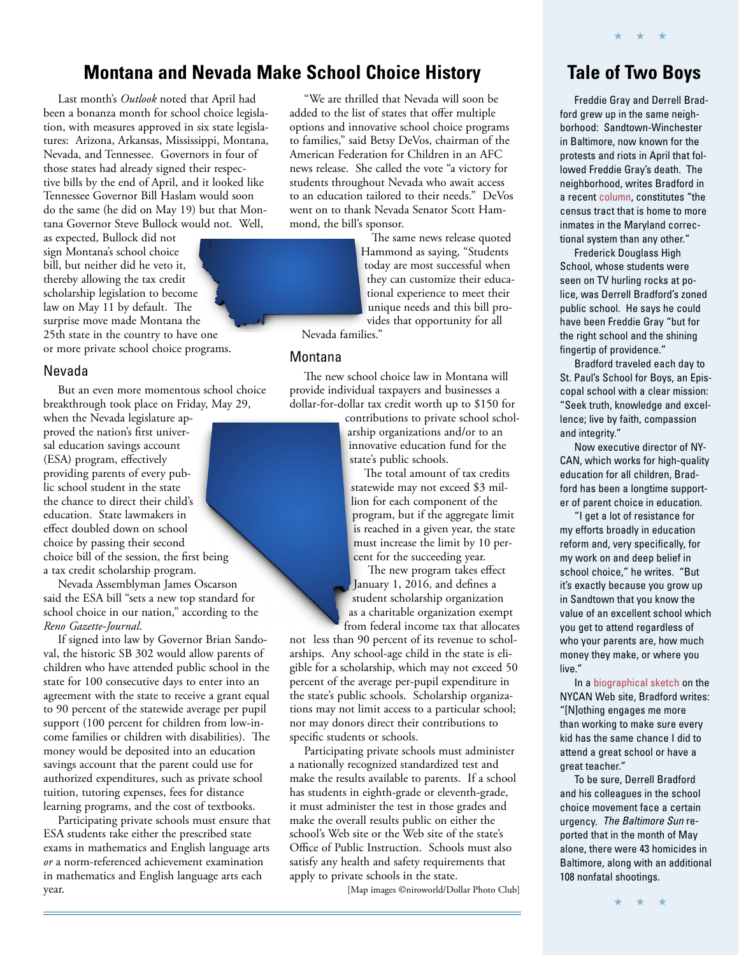### **Montana and Nevada Make School Choice History**

Last month's *Outlook* noted that April had been a bonanza month for school choice legislation, with measures approved in six state legislatures: Arizona, Arkansas, Mississippi, Montana, Nevada, and Tennessee. Governors in four of those states had already signed their respective bills by the end of April, and it looked like Tennessee Governor Bill Haslam would soon do the same (he did on May 19) but that Montana Governor Steve Bullock would not. Well,

as expected, Bullock did not sign Montana's school choice bill, but neither did he veto it, thereby allowing the tax credit scholarship legislation to become law on May 11 by default. The surprise move made Montana the 25th state in the country to have one or more private school choice programs.

#### Nevada

But an even more momentous school choice breakthrough took place on Friday, May 29,

when the Nevada legislature approved the nation's first universal education savings account (ESA) program, effectively providing parents of every public school student in the state the chance to direct their child's education. State lawmakers in effect doubled down on school choice by passing their second choice bill of the session, the first being a tax credit scholarship program.

Nevada Assemblyman James Oscarson said the ESA bill "sets a new top standard for school choice in our nation," according to the *Reno Gazette-Journal*.

If signed into law by Governor Brian Sandoval, the historic SB 302 would allow parents of children who have attended public school in the state for 100 consecutive days to enter into an agreement with the state to receive a grant equal to 90 percent of the statewide average per pupil support (100 percent for children from low-income families or children with disabilities). The money would be deposited into an education savings account that the parent could use for authorized expenditures, such as private school tuition, tutoring expenses, fees for distance learning programs, and the cost of textbooks.

Participating private schools must ensure that ESA students take either the prescribed state exams in mathematics and English language arts *or* a norm-referenced achievement examination in mathematics and English language arts each year.

"We are thrilled that Nevada will soon be added to the list of states that offer multiple options and innovative school choice programs to families," said Betsy DeVos, chairman of the American Federation for Children in an AFC news release. She called the vote "a victory for students throughout Nevada who await access to an education tailored to their needs." DeVos went on to thank Nevada Senator Scott Hammond, the bill's sponsor.

The same news release quoted Hammond as saying, "Students today are most successful when they can customize their educational experience to meet their unique needs and this bill provides that opportunity for all

Nevada families."

#### Montana

The new school choice law in Montana will provide individual taxpayers and businesses a dollar-for-dollar tax credit worth up to \$150 for

> contributions to private school scholarship organizations and/or to an innovative education fund for the state's public schools.

The total amount of tax credits statewide may not exceed \$3 million for each component of the program, but if the aggregate limit is reached in a given year, the state must increase the limit by 10 percent for the succeeding year.

The new program takes effect January 1, 2016, and defines a student scholarship organization as a charitable organization exempt from federal income tax that allocates

not less than 90 percent of its revenue to scholarships. Any school-age child in the state is eligible for a scholarship, which may not exceed 50 percent of the average per-pupil expenditure in the state's public schools. Scholarship organizations may not limit access to a particular school; nor may donors direct their contributions to specific students or schools.

Participating private schools must administer a nationally recognized standardized test and make the results available to parents. If a school has students in eighth-grade or eleventh-grade, it must administer the test in those grades and make the overall results public on either the school's Web site or the Web site of the state's Office of Public Instruction. Schools must also satisfy any health and safety requirements that apply to private schools in the state.

[Map images ©niroworld/Dollar Photo Club]

## **Tale of Two Boys**

★ ★ ★

Freddie Gray and Derrell Bradford grew up in the same neighborhood: Sandtown-Winchester in Baltimore, now known for the protests and riots in April that followed Freddie Gray's death. The neighborhood, writes Bradford in a recent [column,](http://50can.org/what-we-do/blog/i-am-your-black-friend-who-grew-sandtown-winchester) constitutes "the census tract that is home to more inmates in the Maryland correctional system than any other."

Frederick Douglass High School, whose students were seen on TV hurling rocks at police, was Derrell Bradford's zoned public school. He says he could have been Freddie Gray "but for the right school and the shining fingertip of providence."

Bradford traveled each day to St. Paul's School for Boys, an Episcopal school with a clear mission: "Seek truth, knowledge and excellence; live by faith, compassion and integrity."

Now executive director of NY-CAN, which works for high-quality education for all children, Bradford has been a longtime supporter of parent choice in education.

"I get a lot of resistance for my efforts broadly in education reform and, very specifically, for my work on and deep belief in school choice," he writes. "But it's exactly because you grow up in Sandtown that you know the value of an excellent school which you get to attend regardless of who your parents are, how much money they make, or where you live."

In a [biographical sketch](http://50can.org/who-we-are/staff/derrell-bradford) on the NYCAN Web site, Bradford writes: "[N]othing engages me more than working to make sure every kid has the same chance I did to attend a great school or have a great teacher."

To be sure, Derrell Bradford and his colleagues in the school choice movement face a certain urgency. The Baltimore Sun reported that in the month of May alone, there were 43 homicides in Baltimore, along with an additional 108 nonfatal shootings.

★ ★ ★